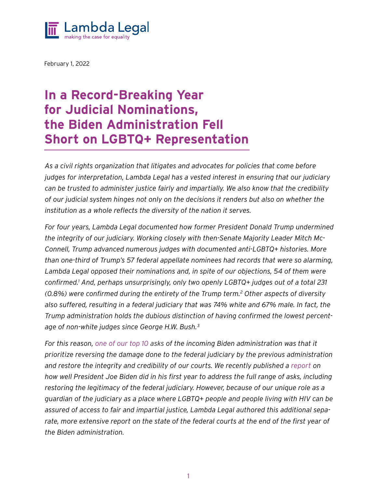

February 1, 2022

### In a Record-Breaking Year for Judicial Nominations, the Biden Administration Fell Short on LGBTQ+ Representation

*As a civil rights organization that litigates and advocates for policies that come before judges for interpretation, Lambda Legal has a vested interest in ensuring that our judiciary can be trusted to administer justice fairly and impartially. We also know that the credibility of our judicial system hinges not only on the decisions it renders but also on whether the institution as a whole reflects the diversity of the nation it serves.* 

*For four years, Lambda Legal documented how former President Donald Trump undermined the integrity of our judiciary. Working closely with then-Senate Majority Leader Mitch Mc-Connell, Trump advanced numerous judges with documented anti-LGBTQ+ histories. More than one-third of Trump's 57 federal appellate nominees had records that were so alarming, Lambda Legal opposed their nominations and, in spite of our objections, 54 of them were confirmed.1 And, perhaps unsurprisingly, only two openly LGBTQ+ judges out of a total 231 (0.8%) were confirmed during the entirety of the Trump term.2 Other aspects of diversity also suffered, resulting in a federal judiciary that was 74% white and 67% male. In fact, the Trump administration holds the dubious distinction of having confirmed the lowest percentage of non-white judges since George H.W. Bush.3*

*For this reason, one of our top 10 asks of the incoming Biden administration was that it prioritize reversing the damage done to the federal judiciary by the previous administration and restore the integrity and credibility of our courts. We recently published a report on how well President Joe Biden did in his first year to address the full range of asks, including restoring the legitimacy of the federal judiciary. However, because of our unique role as a guardian of the judiciary as a place where LGBTQ+ people and people living with HIV can be assured of access to fair and impartial justice, Lambda Legal authored this additional separate, more extensive report on the state of the federal courts at the end of the first year of the Biden administration.*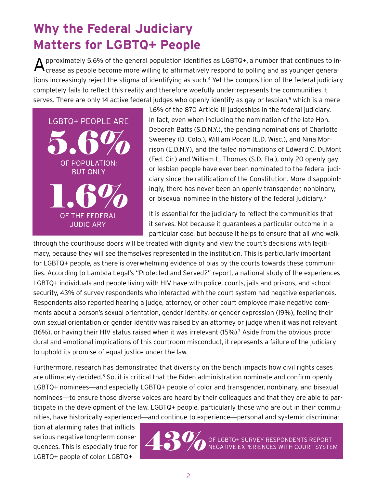### **Why the Federal Judiciary Matters for LGBTQ+ People**

 ${\mathbf A}$  pproximately 5.6% of the general population identifies as LGBTQ+, a number that continues to in-<br>Crease as people become more willing to affirmatively respond to polling and as younger generations increasingly reject the stigma of identifying as such.<sup>4</sup> Yet the composition of the federal judiciary completely fails to reflect this reality and therefore woefully under-represents the communities it serves. There are only 14 active federal judges who openly identify as gay or lesbian,<sup>5</sup> which is a mere



1.6� of the 870 Article III judgeships in the federal judiciary. In fact, even when including the nomination of the late Hon. Deborah Batts (S.D.N.Y.), the pending nominations of Charlotte Sweeney (D. Colo.), William Pocan (E.D. Wisc.), and Nina Morrison (E.D.N.Y), and the failed nominations of Edward C. DuMont (Fed. Cir.) and William L. Thomas (S.D. Fla.), only 20 openly gay or lesbian people have ever been nominated to the federal judiciary since the ratification of the Constitution. More disappointingly, there has never been an openly transgender, nonbinary, or bisexual nominee in the history of the federal judiciary.<sup>6</sup>

It is essential for the judiciary to reflect the communities that it serves. Not because it guarantees a particular outcome in a particular case, but because it helps to ensure that all who walk

through the courthouse doors will be treated with dignity and view the court's decisions with legitimacy, because they will see themselves represented in the institution. This is particularly important for LGBTQ+ people, as there is overwhelming evidence of bias by the courts towards these communities. According to Lambda Legal's "Protected and Served?" report, a national study of the experiences LGBTQ+ individuals and people living with HIV have with police, courts, jails and prisons, and school LODTQ+ marvialars and people in my with the nave with police, courts, jails and prisons, and sensor<br>security, 43% of survey respondents who interacted with the court system had negative experiences. Respondents also reported hearing a judge, attorney, or other court employee make negative comments about a person's sexual orientation, gender identity, or gender expression (19�), feeling their own sexual orientation or gender identity was raised by an attorney or judge when it was not relevant (16%), or having their HIV status raised when it was irrelevant (15%).<sup>7</sup> Aside from the obvious procedural and emotional implications of this courtroom misconduct, it represents a failure of the judiciary to uphold its promise of equal justice under the law. to uphold its promise of equal justice under the law. Respondent<br>ments about dural and e<br>to uphold it<br>Eurthermer i juuge, attorney, or othe<br>ation, gender identity, c<br>ntity was raised by an a s who interacted with the a judge, attorney, or oth<br>tation, gender identity, or<br>patity was raised by an a  $\frac{1}{2}$ 

to uphold its promise of equal justice under the law.<br>Furthermore, research has demonstrated that diversity on the bench impacts how civil rights cases are ultimately decided.<sup>8</sup> So, it is critical that the Biden administration nominate and confirm openly LGBTQ+ nominees—and especially LGBTQ+ people of color and transgender, nonbinary, and bisexual nominees—to ensure those diverse voices are heard by their colleagues and that they are able to participate in the development of the law. LGBTQ+ people, particularly those who are out in their communities, have historically experienced—and continue to experience—personal and systemic discrimina- $\sim$  that diversity ITUT UIVEIJ

tion at alarming rates that inflicts serious negative long-term consequences. This is especially true for LGBTQ+ people of color, LGBTQ+



+ SURVEY RESPONDENTS REPORT NEGATIVE EXPERIENCES WITH COURT SYSTEM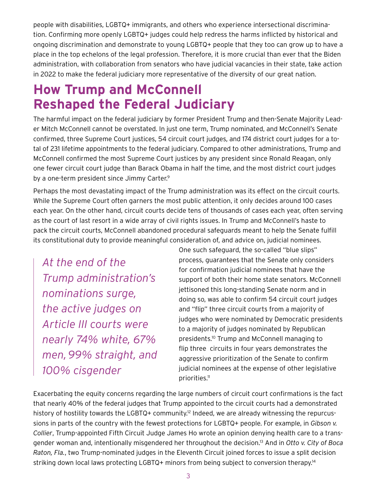people with disabilities, LGBTQ+ immigrants, and others who experience intersectional discrimination. Confirming more openly LGBTQ+ judges could help redress the harms inflicted by historical and ongoing discrimination and demonstrate to young LGBTQ+ people that they too can grow up to have a place in the top echelons of the legal profession. Therefore, it is more crucial than ever that the Biden administration, with collaboration from senators who have judicial vacancies in their state, take action in 2022 to make the federal judiciary more representative of the diversity of our great nation.

### **How Trump and McConnell Reshaped the Federal Judiciary**

The harmful impact on the federal judiciary by former President Trump and then-Senate Majority Leader Mitch McConnell cannot be overstated. In just one term, Trump nominated, and McConnell's Senate confirmed, three Supreme Court justices, 54 circuit court judges, and 174 district court judges for a total of 231 lifetime appointments to the federal judiciary. Compared to other administrations, Trump and McConnell confirmed the most Supreme Court justices by any president since Ronald Reagan, only one fewer circuit court judge than Barack Obama in half the time, and the most district court judges by a one-term president since Jimmy Carter.<sup>9</sup>

Perhaps the most devastating impact of the Trump administration was its effect on the circuit courts. While the Supreme Court often garners the most public attention, it only decides around 100 cases each year. On the other hand, circuit courts decide tens of thousands of cases each year, often serving as the court of last resort in a wide array of civil rights issues. In Trump and McConnell's haste to pack the circuit courts, McConnell abandoned procedural safeguards meant to help the Senate fulfill its constitutional duty to provide meaningful consideration of, and advice on, judicial nominees.

*At the end of the Trump administration's nominations surge, the active judges on Article III courts were nearly 74% white, 67% men,99% straight, and 100% cisgender*

One such safeguard, the so-called "blue slips" process, guarantees that the Senate only considers for confirmation judicial nominees that have the support of both their home state senators. McConnell jettisoned this long-standing Senate norm and in doing so, was able to confirm 54 circuit court judges and "flip" three circuit courts from a majority of judges who were nominated by Democratic presidents to a majority of judges nominated by Republican presidents.10 Trump and McConnell managing to flip three circuits in four years demonstrates the aggressive prioritization of the Senate to confirm judicial nominees at the expense of other legislative priorities.11

Exacerbating the equity concerns regarding the large numbers of circuit court confirmations is the fact that nearly 40� of the federal judges that Trump appointed to the circuit courts had a demonstrated history of hostility towards the LGBTQ+ community.<sup>12</sup> Indeed, we are already witnessing the repurcussions in parts of the country with the fewest protections for LGBTQ+ people. For example, in *Gibson v. Collier*, Trump-appointed Fifth Circuit Judge James Ho wrote an opinion denying health care to a transgender woman and, intentionally misgendered her throughout the decision.13 And in *Otto v. City of Boca Raton, Fla.*, two Trump-nominated judges in the Eleventh Circuit joined forces to issue a split decision striking down local laws protecting LGBTQ+ minors from being subject to conversion therapy.<sup>14</sup>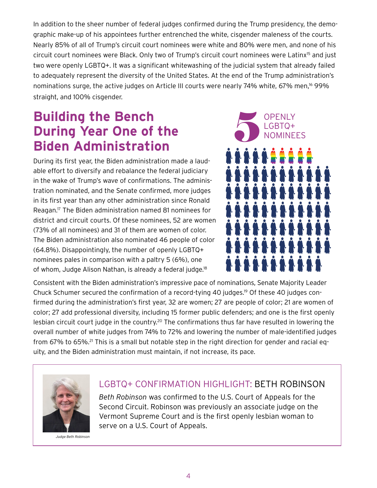In addition to the sheer number of federal judges confirmed during the Trump presidency, the demographic make-up of his appointees further entrenched the white, cisgender maleness of the courts. Nearly 85� of all of Trump's circuit court nominees were white and 80� were men, and none of his circuit court nominees were Black. Only two of Trump's circuit court nominees were Latinx15 and just two were openly LGBTQ+. It was a significant whitewashing of the judicial system that already failed to adequately represent the diversity of the United States. At the end of the Trump administration's nominations surge, the active judges on Article III courts were nearly 74% white, 67% men,<sup>16</sup> 99% straight, and 100% cisgender.

### **Building the Bench During Year One of the Biden Administration**

During its first year, the Biden administration made a laudable effort to diversify and rebalance the federal judiciary in the wake of Trump's wave of confirmations. The administration nominated, and the Senate confirmed, more judges in its first year than any other administration since Ronald Reagan.17 The Biden administration named 81 nominees for district and circuit courts. Of these nominees, 52 are women (73% of all nominees) and 31 of them are women of color. The Biden administration also nominated 46 people of color (64.8%). Disappointingly, the number of openly LGBTQ+ nominees pales in comparison with a paltry 5 (6%), one of whom, Judge Alison Nathan, is already a federal judge.<sup>18</sup>



Consistent with the Biden administration's impressive pace of nominations, Senate Majority Leader Chuck Schumer secured the confirmation of a record-tying 40 judges.19 Of these 40 judges confirmed during the administration's first year, 32 are women; 27 are people of color; 21 are women of color; 27 add professional diversity, including 15 former public defenders; and one is the first openly lesbian circuit court judge in the country.<sup>20</sup> The confirmations thus far have resulted in lowering the overall number of white judges from 74% to 72% and lowering the number of male-identified judges from 67% to 65%.<sup>21</sup> This is a small but notable step in the right direction for gender and racial equity, and the Biden administration must maintain, if not increase, its pace.



*Judge Beth Robinson*

#### LGBTQ+ Confirmation Highlight: BETH ROBINSON

*Beth Robinson* was confirmed to the U.S. Court of Appeals for the Second Circuit. Robinson was previously an associate judge on the Vermont Supreme Court and is the first openly lesbian woman to serve on a U.S. Court of Appeals.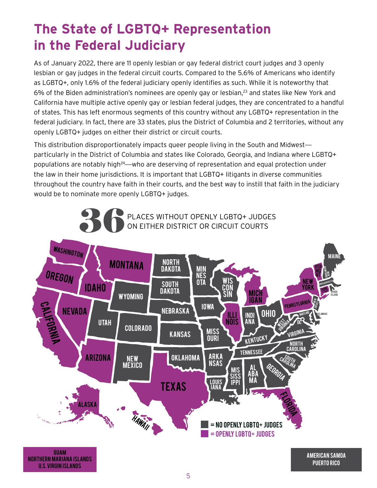# The State of LGBTQ+ Representation in the Federal Judiciary

As of January 2022, there are 11 openly lesbian or gay federal district court judges and 3 openly lesbian or gay judges in the federal circuit courts. Compared to the 5.6% of Americans who identify as LGBTQ+, only 1.6% of the federal judiciary openly identifies as such. While it is noteworthy that 6% of the Biden administration's nominees are openly gay or lesbian,<sup>23</sup> and states like New York and California have multiple active openly gay or lesbian federal judges, they are concentrated to a handful of states. This has left enormous segments of this country without any LGBTQ+ representation in the federal judiciary. In fact, there are 33 states, plus the District of Columbia and 2 territories, without any openly LGBTQ+ judges on either their district or circuit courts.

This distribution disproportionately impacts queer people living in the South and Midwest particularly in the District of Columbia and states like Colorado, Georgia, and Indiana where LGBTQ+ populations are notably high<sup>24</sup>—who are deserving of representation and equal protection under the law in their home jurisdictions. It is important that LGBTQ+ litigants in diverse communities throughout the country have faith in their courts, and the best way to instill that faith in the judiciary would be to nominate more openly LGBTQ+ judges.



**U.S. VIRGIN ISLANDS**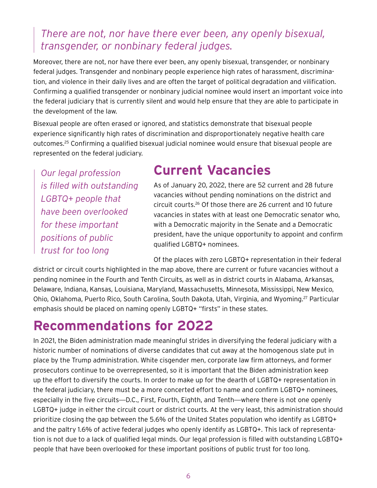### *There are not, nor have there ever been, any openly bisexual, transgender, or nonbinary federal judges.*

Moreover, there are not, nor have there ever been, any openly bisexual, transgender, or nonbinary federal judges. Transgender and nonbinary people experience high rates of harassment, discrimination, and violence in their daily lives and are often the target of political degradation and vilification. Confirming a qualified transgender or nonbinary judicial nominee would insert an important voice into the federal judiciary that is currently silent and would help ensure that they are able to participate in the development of the law.

Bisexual people are often erased or ignored, and statistics demonstrate that bisexual people experience significantly high rates of discrimination and disproportionately negative health care outcomes.25 Confirming a qualified bisexual judicial nominee would ensure that bisexual people are represented on the federal judiciary.

*Our legal profession is filled with outstanding LGBTQ+ people that have been overlooked for these important positions of public trust for too long*

### **Current Vacancies**

As of January 20, 2022, there are 52 current and 28 future vacancies without pending nominations on the district and circuit courts.26 Of those there are 26 current and 10 future vacancies in states with at least one Democratic senator who, with a Democratic majority in the Senate and a Democratic president, have the unique opportunity to appoint and confirm qualified LGBTQ+ nominees.

Of the places with zero LGBTQ+ representation in their federal

district or circuit courts highlighted in the map above, there are current or future vacancies without a pending nominee in the Fourth and Tenth Circuits, as well as in district courts in Alabama, Arkansas, Delaware, Indiana, Kansas, Louisiana, Maryland, Massachusetts, Minnesota, Mississippi, New Mexico, Ohio, Oklahoma, Puerto Rico, South Carolina, South Dakota, Utah, Virginia, and Wyoming.27 Particular emphasis should be placed on naming openly LGBTQ+ "firsts" in these states.

### **Recommendations for 2022**

In 2021, the Biden administration made meaningful strides in diversifying the federal judiciary with a historic number of nominations of diverse candidates that cut away at the homogenous slate put in place by the Trump administration. White cisgender men, corporate law firm attorneys, and former prosecutors continue to be overrepresented, so it is important that the Biden administration keep up the effort to diversify the courts. In order to make up for the dearth of LGBTQ+ representation in the federal judiciary, there must be a more concerted effort to name and confirm LGBTQ+ nominees, especially in the five circuits—D.C., First, Fourth, Eighth, and Tenth—where there is not one openly LGBTQ+ judge in either the circuit court or district courts. At the very least, this administration should prioritize closing the gap between the 5.6� of the United States population who identify as LGBTQ+ and the paltry 1.6% of active federal judges who openly identify as LGBTQ+. This lack of representation is not due to a lack of qualified legal minds. Our legal profession is filled with outstanding LGBTQ+ people that have been overlooked for these important positions of public trust for too long.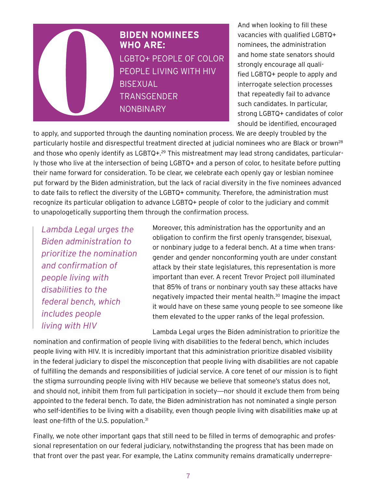

And when looking to fill these vacancies with qualified LGBTQ+ nominees, the administration and home state senators should strongly encourage all qualified LGBTQ+ people to apply and interrogate selection processes that repeatedly fail to advance such candidates. In particular, strong LGBTQ+ candidates of color should be identified, encouraged

to apply, and supported through the daunting nomination process. We are deeply troubled by the particularly hostile and disrespectful treatment directed at judicial nominees who are Black or brown<sup>28</sup> and those who openly identify as LGBTQ+.<sup>29</sup> This mistreatment may lead strong candidates, particularly those who live at the intersection of being LGBTQ+ and a person of color, to hesitate before putting their name forward for consideration. To be clear, we celebrate each openly gay or lesbian nominee put forward by the Biden administration, but the lack of racial diversity in the five nominees advanced to date fails to reflect the diversity of the LGBTQ+ community. Therefore, the administration must recognize its particular obligation to advance LGBTQ+ people of color to the judiciary and commit to unapologetically supporting them through the confirmation process.

*Lambda Legal urges the Biden administration to prioritize the nomination and confirmation of people living with disabilities to the federal bench, which includes people living with HIV*

Moreover, this administration has the opportunity and an obligation to confirm the first openly transgender, bisexual, or nonbinary judge to a federal bench. At a time when transgender and gender nonconforming youth are under constant attack by their state legislatures, this representation is more important than ever. A recent Trevor Project poll illuminated that 85% of trans or nonbinary youth say these attacks have negatively impacted their mental health.30 Imagine the impact it would have on these same young people to see someone like them elevated to the upper ranks of the legal profession.

Lambda Legal urges the Biden administration to prioritize the

nomination and confirmation of people living with disabilities to the federal bench, which includes people living with HIV. It is incredibly important that this administration prioritize disabled visibility in the federal judiciary to dispel the misconception that people living with disabilities are not capable of fulfilling the demands and responsibilities of judicial service. A core tenet of our mission is to fight the stigma surrounding people living with HIV because we believe that someone's status does not, and should not, inhibit them from full participation in society—nor should it exclude them from being appointed to the federal bench. To date, the Biden administration has not nominated a single person who self-identifies to be living with a disability, even though people living with disabilities make up at least one-fifth of the U.S. population.<sup>31</sup>

Finally, we note other important gaps that still need to be filled in terms of demographic and professional representation on our federal judiciary, notwithstanding the progress that has been made on that front over the past year. For example, the Latinx community remains dramatically underrepre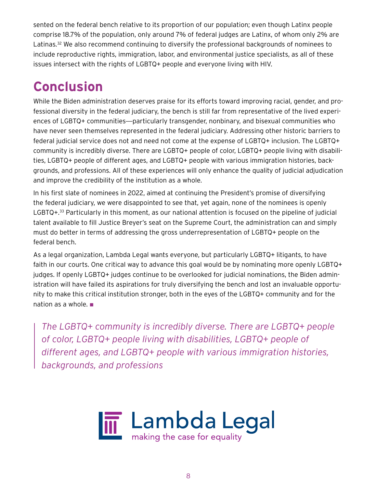sented on the federal bench relative to its proportion of our population; even though Latinx people comprise 18.7% of the population, only around 7% of federal judges are Latinx, of whom only 2% are Latinas.<sup>32</sup> We also recommend continuing to diversify the professional backgrounds of nominees to include reproductive rights, immigration, labor, and environmental justice specialists, as all of these issues intersect with the rights of LGBTQ+ people and everyone living with HIV.

## **Conclusion**

While the Biden administration deserves praise for its efforts toward improving racial, gender, and professional diversity in the federal judiciary, the bench is still far from representative of the lived experiences of LGBTQ+ communities—particularly transgender, nonbinary, and bisexual communities who have never seen themselves represented in the federal judiciary. Addressing other historic barriers to federal judicial service does not and need not come at the expense of LGBTQ+ inclusion. The LGBTQ+ community is incredibly diverse. There are LGBTQ+ people of color, LGBTQ+ people living with disabilities, LGBTQ+ people of different ages, and LGBTQ+ people with various immigration histories, backgrounds, and professions. All of these experiences will only enhance the quality of judicial adjudication and improve the credibility of the institution as a whole.

In his first slate of nominees in 2022, aimed at continuing the President's promise of diversifying the federal judiciary, we were disappointed to see that, yet again, none of the nominees is openly LGBTQ+.33 Particularly in this moment, as our national attention is focused on the pipeline of judicial talent available to fill Justice Breyer's seat on the Supreme Court, the administration can and simply must do better in terms of addressing the gross underrepresentation of LGBTQ+ people on the federal bench.

As a legal organization, Lambda Legal wants everyone, but particularly LGBTQ+ litigants, to have faith in our courts. One critical way to advance this goal would be by nominating more openly LGBTQ+ judges. If openly LGBTQ+ judges continue to be overlooked for judicial nominations, the Biden administration will have failed its aspirations for truly diversifying the bench and lost an invaluable opportunity to make this critical institution stronger, both in the eyes of the LGBTQ+ community and for the nation as a whole.

*The LGBTQ+ community is incredibly diverse. There are LGBTQ+ people of color, LGBTQ+ people living with disabilities, LGBTQ+ people of different ages, and LGBTQ+ people with various immigration histories, backgrounds, and professions*

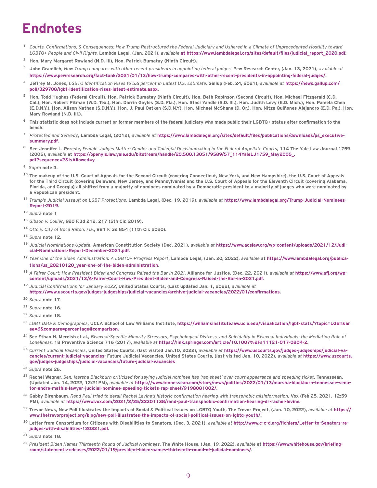### **Endnotes**

- <sup>1</sup> *Courts, Confirmations, & Consequences: How Trump Restructured the Federal Judiciary and Ushered in a Climate of Unprecedented Hostility toward LGBTQ+ People and Civil Rights,* Lambda Legal, (Jan. 2021), *available* at https://www.lambdalegal.org/sites/default/files/judicial\_report\_2020.pdf.
- <sup>2</sup> Hon. Mary Margaret Rowland (N.D. III), Hon. Patrick Bumatay (Ninth Circuit).
- <sup>3</sup> John Gramlich, *How Trump compares with other recent presidents in appointing federal judges,* Pew Research Center, (Jan. 13, 2021), *available at* https://www.pewresearch.org/fact-tank/2021/01/13/how-trump-compares-with-other-recent-presidents-in-appointing-federal-judges/.
- <sup>4</sup> Jeffrey M. Jones*, LGBTQ Identification Rises to 5.6 percent in Latest U.S. Estimate,* Gallup (Feb. 24, 2021), *available at* https://news.gallup.com/ poll/329708/lgbt-identification-rises-latest-estimate.aspx.
- <sup>5</sup> Hon. Todd Hughes (Federal Circuit), Hon. Patrick Bumatay (Ninth Circuit), Hon. Beth Robinson (Second Circuit), Hon. Michael Fitzgerald (C.D. Cal.), Hon. Robert Pitman (W.D. Tex.), Hon. Darrin Gayles (S.D. Fla.), Hon. Staci Yandle (S.D. Ill.), Hon. Judith Levy (E.D. Mich.), Hon. Pamela Chen (E.D.N.Y.), Hon. Alison Nathan (S.D.N.Y.), Hon. J. Paul Oetken (S.D.N.Y), Hon. Michael McShane (D. Or.), Hon. Nitza Quiñones Alejandro (E.D. Pa.), Hon. Mary Rowland (N.D. Ill.).
- <sup>6</sup> This statistic does not include current or former members of the federal judiciary who made public their LGBTQ+ status after confirmation to the bench.
- <sup>7</sup> *Protected and Served?*, Lambda Legal, (2012), *available at* https://www.lambdalegal.org/sites/default/files/publications/downloads/ps\_executivesummary.pdf.
- <sup>8</sup> See Jennifer L. Peresie, *Female Judges Matter: Gender and Collegial Decisionmaking in the Federal Appellate Courts*, 114 The Yale Law Journal 1759 (2005), *available* at https://openyls.law.yale.edu/bitstream/handle/20.500.13051/9589/57\_114YaleLJ1759\_May2005\_. pdf?sequence=2&isAllowed=y.
- 9 *Supra* note 3.
- <sup>10</sup> The makeup of the U.S. Court of Appeals for the Second Circuit (covering Connecticut, New York, and New Hampshire), the U.S. Court of Appeals for the Third Circuit (covering Delaware, New Jersey, and Pennsylvania) and the U.S. Court of Appeals for the Eleventh Circuit (covering Alabama, Florida, and Georgia) all shifted from a majority of nominees nominated by a Democratic president to a majority of judges who were nominated by a Republican president.
- <sup>11</sup> *Trump's Judicial Assault on LGBT Protections,* Lambda Legal, (Dec. 19, 2019), *available at* https://www.lambdalegal.org/Trump-Judicial-Nominees-Report-2019.
- <sup>12</sup> *Supra* note 1
- <sup>13</sup> *Gibson v. Collier*, 920 F.3d 212, 217 (5th Cir. 2019).
- <sup>14</sup> *Otto v. City of Boca Raton, Fla.*, 981 F. 3d 854 (11th Cir. 2020).
- <sup>15</sup> *Supra* note 12.
- <sup>16</sup> *Judicial Nominations Update*, American Constitution Society (Dec. 2021), *available at* https://www.acslaw.org/wp-content/uploads/2021/12/Judicial-Nominations-Report-December-2021.pdf.
- <sup>17</sup> *Year One of the Biden Administration: A LGBTQ+ Progress Report*, Lambda Legal, (Jan. 20, 2022), *available* at https://www.lambdalegal.org/publications/us\_20210120\_year-one-of-the-biden-administration.
- <sup>18</sup> *A Fairer Court: How President Biden and Congress Raised the Bar in 2021*, Alliance for Justice, (Dec. 22, 2021), *available at* https://www.afj.org/wpcontent/uploads/2021/12/A-Fairer-Court-How-President-Biden-and-Congress-Raised-the-Bar-in-2021.pdf.
- <sup>19</sup> *Judicial Confirmations for January 2022*, United States Courts, (Last updated Jan. 1, 2022), *available at* https://www.uscourts.gov/judges-judgeships/judicial-vacancies/archive-judicial-vacancies/2022/01/confirmations.
- <sup>20</sup> *Supra* note 17.
- <sup>21</sup> *Supra* note 16.
- <sup>22</sup> *Supra* note 18.
- <sup>23</sup> *LGBT Data & Demographics*, UCLA School of Law Williams Institute, https://williamsinstitute.law.ucla.edu/visualization/lgbt-stats/?topic=LGBT&ar ea=6&compare=percentage#comparison.
- <sup>24</sup> See Ethan H. Mereish et al., *Bisexual-Specific Minority Stressors, Psychological Distress, and Suicidality in Bisexual Individuals: the Mediating Role of Loneliness,* 18 Preventive Science 716 (2017), *available at* https://link.springer.com/article/10.1007�2Fs11121-017-0804-2.
- <sup>25</sup> *Current Judicial Vacancies*, United States Courts, (last visited Jan.10, 2022), *available at* https://www.uscourts.gov/judges-judgeships/judicial-vacancies/current-judicial-vacancies; Future Judicial Vacancies, United States Courts, (last visited Jan. 10, 2022), *available at* https://www.uscourts. gov/judges-judgeships/judicial-vacancies/future-judicial-vacancies
- <sup>26</sup> *Supra* note 26.
- <sup>27</sup> Rachel Wegner, *Sen. Marsha Blackburn criticized for saying judicial nominee has 'rap sheet' over court appearance and speeding ticket*, Tennessean, (Updated Jan. 14, 2022, 12:21PM), *available at* https://www.tennessean.com/story/news/politics/2022/01/13/marsha-blackburn-tennessee-senator-andre-mathis-lawyer-judicial-nominee-speeding-tickets-rap-sheet/9198081002/.
- 28 Gabby Birenbaum*, Rand Paul tried to derail Rachel Levine's historic confirmation hearing with transphobic misinformation*, Vox (Feb 25, 2021, 12:59 PM), *available at* https://www.vox.com/2021/2/25/22301138/rand-paul-transphobic-confirmation-hearing-dr-rachel-levine.
- <sup>29</sup> Trevor News, New Poll Illustrates the Impacts of Social & Political Issues on LGBTQ Youth, The Trevor Project, (Jan. 10, 2022), *available at* https:// www.thetrevorproject.org/blog/new-poll-illustrates-the-impacts-of-social-political-issues-on-lgbtq-youth/.
- <sup>30</sup> Letter from Consortium for Citizens with Disabilities to Senators, (Dec. 3, 2021), *available at* http://www.c-c-d.org/fichiers/Letter-to-Senators-rejudges-with-disabilities-120321.pdf.
- <sup>31</sup> *Supra* note 18.
- <sup>32</sup> *President Biden Names Thirteenth Round of Judicial Nominees*, The White House, (Jan. 19, 2022), *available* at https://www.whitehouse.gov/briefingroom/statements-releases/2022/01/19/president-biden-names-thirteenth-round-of-judicial-nominees/.